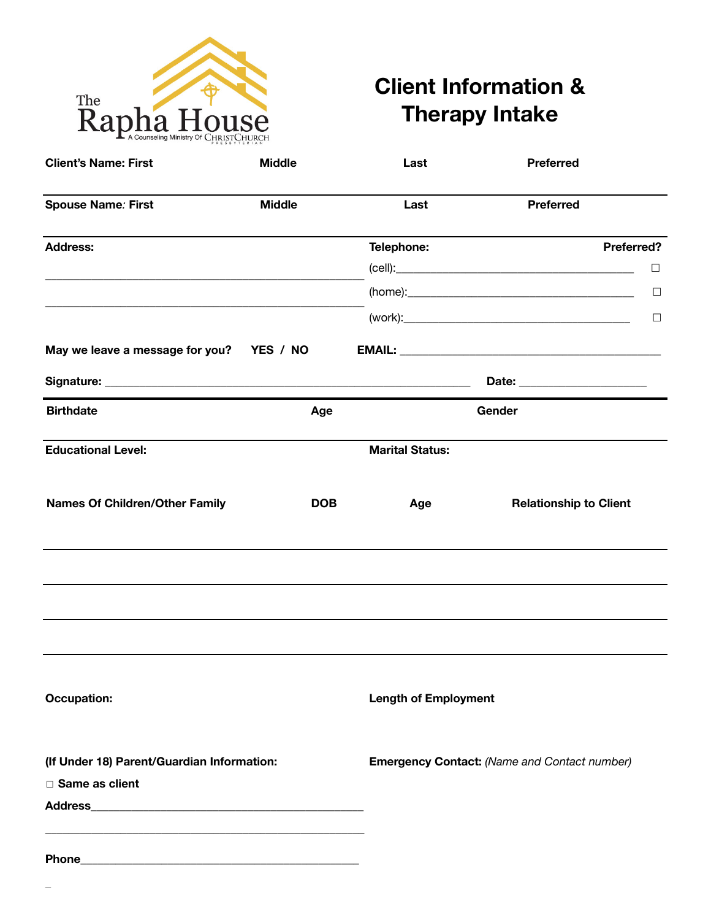

# **Client Information & Therapy Intake**

| <b>Client's Name: First</b>                | <b>Middle</b> | Last                        | <b>Preferred</b>                                    |
|--------------------------------------------|---------------|-----------------------------|-----------------------------------------------------|
| <b>Spouse Name: First</b>                  | <b>Middle</b> | Last                        | <b>Preferred</b>                                    |
| <b>Address:</b>                            |               | Telephone:                  | Preferred?                                          |
|                                            |               |                             | $\Box$                                              |
|                                            |               |                             | $\Box$                                              |
|                                            |               |                             | $\Box$                                              |
| May we leave a message for you? YES / NO   |               |                             |                                                     |
|                                            |               |                             | Date: _______________________                       |
| <b>Birthdate</b>                           | Age           |                             | Gender                                              |
| <b>Educational Level:</b>                  |               | <b>Marital Status:</b>      |                                                     |
| <b>Names Of Children/Other Family</b>      | <b>DOB</b>    | Age                         | <b>Relationship to Client</b>                       |
|                                            |               |                             |                                                     |
|                                            |               |                             |                                                     |
| <b>Occupation:</b>                         |               | <b>Length of Employment</b> |                                                     |
| (If Under 18) Parent/Guardian Information: |               |                             | <b>Emergency Contact: (Name and Contact number)</b> |
| □ Same as client                           |               |                             |                                                     |
|                                            |               |                             |                                                     |
|                                            |               |                             |                                                     |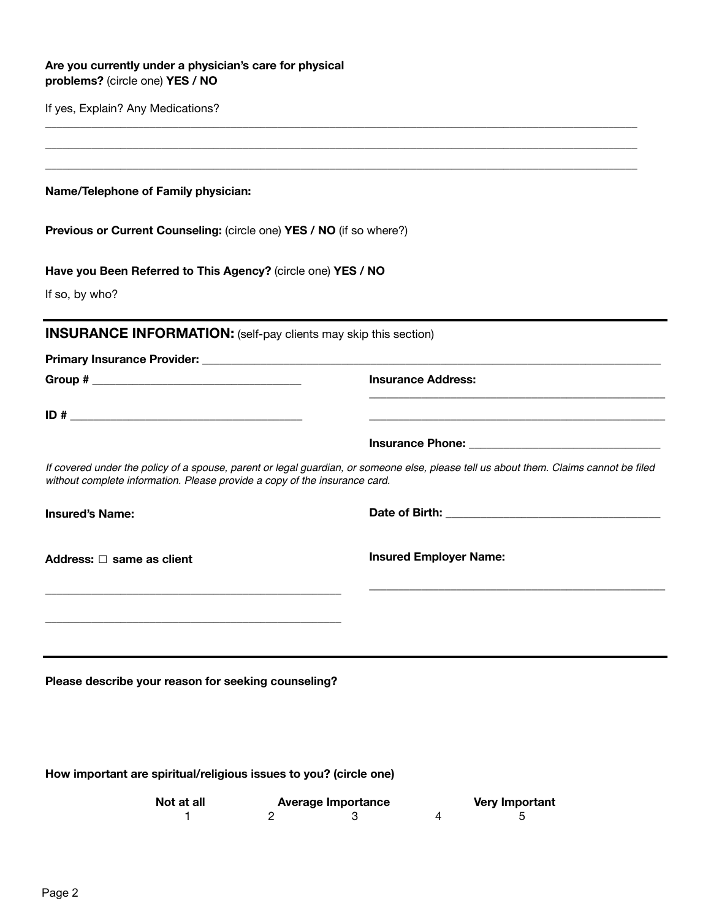| Are you currently under a physician's care for physical |
|---------------------------------------------------------|
| problems? (circle one) YES / NO                         |

If yes, Explain? Any Medications?

**Name/Telephone of Family physician:**

**Previous or Current Counseling:** (circle one) **YES / NO** (if so where?)

**Have you Been Referred to This Agency?** (circle one) **YES / NO**

If so, by who?

**INSURANCE INFORMATION:** (self-pay clients may skip this section)

**Group # \_\_\_\_\_\_\_\_\_\_\_\_\_\_\_\_\_\_\_\_\_\_\_\_\_\_\_\_\_\_\_\_\_\_\_\_ Insurance Address:** 

**Primary Insurance Provider: \_\_\_\_\_\_\_\_\_\_\_\_\_\_\_\_\_\_\_\_\_\_\_\_\_\_\_\_\_\_\_\_\_\_\_\_\_\_\_\_\_\_\_\_\_\_\_\_\_\_\_\_\_\_\_\_\_\_\_\_\_\_\_\_\_\_\_\_\_\_\_\_\_\_\_\_\_\_\_** 

**ID #**  $\blacksquare$ 

*If covered under the policy of a spouse, parent or legal guardian, or someone else, please tell us about them. Claims cannot be filed without complete information. Please provide a copy of the insurance card.*

**\_\_\_\_\_\_\_\_\_\_\_\_\_\_\_\_\_\_\_\_\_\_\_\_\_\_\_\_\_\_\_\_\_\_\_\_\_\_\_\_\_\_\_\_\_\_\_\_\_\_\_\_\_\_\_\_\_\_\_\_\_\_\_\_\_\_\_\_\_\_\_\_\_\_\_\_\_\_\_\_\_\_\_\_\_\_\_\_\_\_\_\_\_\_\_\_\_\_\_\_\_\_ \_\_\_\_\_\_\_\_\_\_\_\_\_\_\_\_\_\_\_\_\_\_\_\_\_\_\_\_\_\_\_\_\_\_\_\_\_\_\_\_\_\_\_\_\_\_\_\_\_\_\_\_\_\_\_\_\_\_\_\_\_\_\_\_\_\_\_\_\_\_\_\_\_\_\_\_\_\_\_\_\_\_\_\_\_\_\_\_\_\_\_\_\_\_\_\_\_\_\_\_\_\_ \_\_\_\_\_\_\_\_\_\_\_\_\_\_\_\_\_\_\_\_\_\_\_\_\_\_\_\_\_\_\_\_\_\_\_\_\_\_\_\_\_\_\_\_\_\_\_\_\_\_\_\_\_\_\_\_\_\_\_\_\_\_\_\_\_\_\_\_\_\_\_\_\_\_\_\_\_\_\_\_\_\_\_\_\_\_\_\_\_\_\_\_\_\_\_\_\_\_\_\_\_\_**

**Insured's Name: Date of Birth: \_\_\_\_\_\_\_\_\_\_\_\_\_\_\_\_\_\_\_\_\_\_\_\_\_\_\_\_\_\_\_\_\_\_\_\_\_**

**Address:** ☐ **same as client** 

**\_\_\_\_\_\_\_\_\_\_\_\_\_\_\_\_\_\_\_\_\_\_\_\_\_\_\_\_\_\_\_\_\_\_\_\_\_\_\_\_\_\_\_\_\_\_\_\_\_\_\_**

**\_\_\_\_\_\_\_\_\_\_\_\_\_\_\_\_\_\_\_\_\_\_\_\_\_\_\_\_\_\_\_\_\_\_\_\_\_\_\_\_\_\_\_\_\_\_\_\_\_\_\_**

**Insurance Phone: \_\_\_\_\_\_\_\_\_\_\_\_\_\_\_\_\_\_\_\_\_\_\_\_\_\_\_\_\_\_\_\_\_**

**Insured Employer Name:** 

**Please describe your reason for seeking counseling?**

**\_\_\_\_\_\_\_\_\_\_\_\_\_\_\_\_\_\_\_\_\_\_\_\_\_\_\_\_\_\_\_\_\_\_\_\_\_\_\_\_\_\_\_\_\_\_\_\_\_\_\_** 

**\_\_\_\_\_\_\_\_\_\_\_\_\_\_\_\_\_\_\_\_\_\_\_\_\_\_\_\_\_\_\_\_\_\_\_\_\_\_\_\_\_\_\_\_\_\_\_\_\_\_\_**

**How important are spiritual/religious issues to you? (circle one)**

| Not at all | <b>Average Importance</b> | <b>Very Important</b> |  |  |
|------------|---------------------------|-----------------------|--|--|
|            |                           |                       |  |  |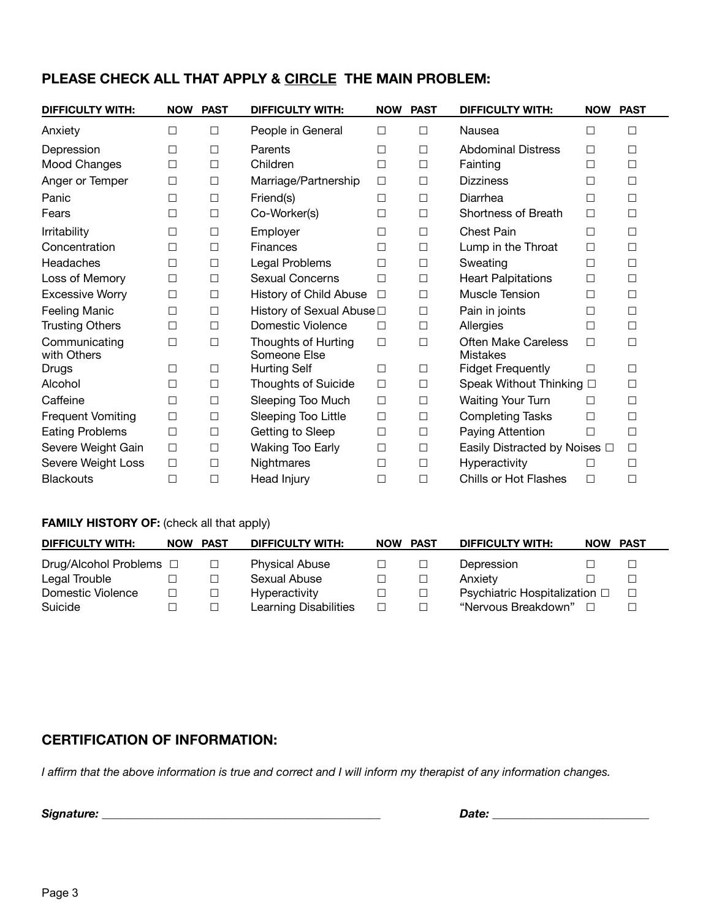## **PLEASE CHECK ALL THAT APPLY & CIRCLE THE MAIN PROBLEM:**

| <b>DIFFICULTY WITH:</b>      | <b>NOW</b> | <b>PAST</b> | <b>DIFFICULTY WITH:</b>             | <b>NOW</b> | <b>PAST</b> | <b>DIFFICULTY WITH:</b>         | <b>NOW PAST</b> |        |
|------------------------------|------------|-------------|-------------------------------------|------------|-------------|---------------------------------|-----------------|--------|
| Anxiety                      | П          | □           | People in General                   | $\Box$     | □           | Nausea                          | $\Box$          | □      |
| Depression                   | $\Box$     | $\Box$      | Parents                             | $\Box$     | $\Box$      | <b>Abdominal Distress</b>       | □               | $\Box$ |
| Mood Changes                 | $\Box$     | $\Box$      | Children                            | $\Box$     | $\Box$      | Fainting                        | $\Box$          | □      |
| Anger or Temper              | $\Box$     | $\Box$      | Marriage/Partnership                | $\Box$     | $\Box$      | <b>Dizziness</b>                | $\Box$          | $\Box$ |
| Panic                        | $\Box$     | $\Box$      | Friend(s)                           | $\Box$     | $\Box$      | Diarrhea                        | $\Box$          | $\Box$ |
| Fears                        | П          | $\Box$      | Co-Worker(s)                        | $\Box$     | $\Box$      | Shortness of Breath             | $\Box$          | $\Box$ |
| <b>Irritability</b>          | $\Box$     | $\Box$      | Employer                            | $\Box$     | $\Box$      | <b>Chest Pain</b>               | $\Box$          | $\Box$ |
| Concentration                | $\Box$     | $\Box$      | <b>Finances</b>                     | $\Box$     | $\Box$      | Lump in the Throat              | □               | $\Box$ |
| Headaches                    | $\Box$     | $\Box$      | Legal Problems                      | $\Box$     | $\Box$      | Sweating                        | $\Box$          | $\Box$ |
| Loss of Memory               | $\Box$     | $\Box$      | <b>Sexual Concerns</b>              | $\Box$     | $\Box$      | <b>Heart Palpitations</b>       | □               | $\Box$ |
| <b>Excessive Worry</b>       | $\Box$     | $\Box$      | History of Child Abuse              | $\Box$     | $\Box$      | Muscle Tension                  | $\Box$          | $\Box$ |
| <b>Feeling Manic</b>         | $\Box$     | $\Box$      | History of Sexual Abuse □           |            | $\Box$      | Pain in joints                  | $\Box$          | $\Box$ |
| <b>Trusting Others</b>       | $\Box$     | $\Box$      | Domestic Violence                   | $\Box$     | $\Box$      | Allergies                       | $\Box$          | $\Box$ |
| Communicating<br>with Others | П          | $\Box$      | Thoughts of Hurting<br>Someone Else | $\Box$     | $\Box$      | Often Make Careless<br>Mistakes | □               | $\Box$ |
| Drugs                        | □          | $\Box$      | <b>Hurting Self</b>                 | $\Box$     | $\Box$      | <b>Fidget Frequently</b>        | $\Box$          | $\Box$ |
| Alcohol                      | $\Box$     | $\Box$      | Thoughts of Suicide                 | $\Box$     | $\Box$      | Speak Without Thinking □        |                 | $\Box$ |
| Caffeine                     | $\Box$     | $\Box$      | Sleeping Too Much                   | $\Box$     | $\Box$      | Waiting Your Turn               | $\Box$          | □      |
| <b>Frequent Vomiting</b>     | $\Box$     | $\Box$      | Sleeping Too Little                 | $\Box$     | $\Box$      | <b>Completing Tasks</b>         | $\Box$          | $\Box$ |
| <b>Eating Problems</b>       | $\Box$     | $\Box$      | Getting to Sleep                    | $\Box$     | $\Box$      | Paying Attention                | $\Box$          | $\Box$ |
| Severe Weight Gain           | $\Box$     | $\Box$      | <b>Waking Too Early</b>             | $\Box$     | $\Box$      | Easily Distracted by Noises □   |                 | $\Box$ |
| Severe Weight Loss           | $\Box$     | $\Box$      | Nightmares                          | $\Box$     | $\Box$      | Hyperactivity                   | □               | $\Box$ |
| <b>Blackouts</b>             | $\Box$     | $\Box$      | Head Injury                         | $\Box$     | $\Box$      | Chills or Hot Flashes           | $\Box$          | $\Box$ |

### **FAMILY HISTORY OF:** (check all that apply)

| <b>DIFFICULTY WITH:</b> | <b>NOW</b> | <b>PAST</b> | <b>DIFFICULTY WITH:</b>      | <b>NOW</b> | <b>PAST</b> | <b>DIFFICULTY WITH:</b>                 | <b>NOW PAST</b> |  |
|-------------------------|------------|-------------|------------------------------|------------|-------------|-----------------------------------------|-----------------|--|
| Drug/Alcohol Problems □ |            | $\Box$      | <b>Physical Abuse</b>        |            |             | Depression                              |                 |  |
| Legal Trouble           |            |             | Sexual Abuse                 |            |             | Anxiety                                 |                 |  |
| Domestic Violence       |            | $\Box$      | Hyperactivity                |            |             | Psychiatric Hospitalization □<br>$\Box$ |                 |  |
| Suicide                 |            |             | <b>Learning Disabilities</b> |            |             | "Nervous Breakdown"                     |                 |  |

## **CERTIFICATION OF INFORMATION:**

*I affirm that the above information is true and correct and I will inform my therapist of any information changes.*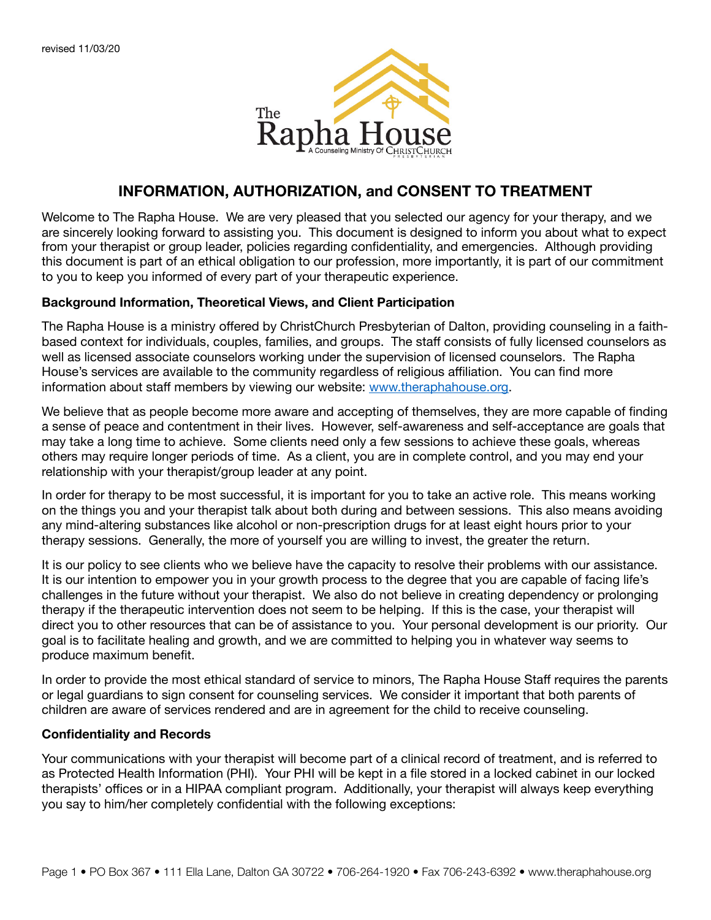

## **INFORMATION, AUTHORIZATION, and CONSENT TO TREATMENT**

Welcome to The Rapha House. We are very pleased that you selected our agency for your therapy, and we are sincerely looking forward to assisting you. This document is designed to inform you about what to expect from your therapist or group leader, policies regarding confidentiality, and emergencies. Although providing this document is part of an ethical obligation to our profession, more importantly, it is part of our commitment to you to keep you informed of every part of your therapeutic experience.

#### **Background Information, Theoretical Views, and Client Participation**

The Rapha House is a ministry offered by ChristChurch Presbyterian of Dalton, providing counseling in a faithbased context for individuals, couples, families, and groups. The staff consists of fully licensed counselors as well as licensed associate counselors working under the supervision of licensed counselors. The Rapha House's services are available to the community regardless of religious affiliation. You can find more information about staff members by viewing our website: [www.theraphahouse.org](http://www.theraphahouse.org).

We believe that as people become more aware and accepting of themselves, they are more capable of finding a sense of peace and contentment in their lives. However, self-awareness and self-acceptance are goals that may take a long time to achieve. Some clients need only a few sessions to achieve these goals, whereas others may require longer periods of time. As a client, you are in complete control, and you may end your relationship with your therapist/group leader at any point.

In order for therapy to be most successful, it is important for you to take an active role. This means working on the things you and your therapist talk about both during and between sessions. This also means avoiding any mind-altering substances like alcohol or non-prescription drugs for at least eight hours prior to your therapy sessions. Generally, the more of yourself you are willing to invest, the greater the return.

It is our policy to see clients who we believe have the capacity to resolve their problems with our assistance. It is our intention to empower you in your growth process to the degree that you are capable of facing life's challenges in the future without your therapist. We also do not believe in creating dependency or prolonging therapy if the therapeutic intervention does not seem to be helping. If this is the case, your therapist will direct you to other resources that can be of assistance to you. Your personal development is our priority. Our goal is to facilitate healing and growth, and we are committed to helping you in whatever way seems to produce maximum benefit.

In order to provide the most ethical standard of service to minors, The Rapha House Staff requires the parents or legal guardians to sign consent for counseling services. We consider it important that both parents of children are aware of services rendered and are in agreement for the child to receive counseling.

#### **Confidentiality and Records**

Your communications with your therapist will become part of a clinical record of treatment, and is referred to as Protected Health Information (PHI). Your PHI will be kept in a file stored in a locked cabinet in our locked therapists' offices or in a HIPAA compliant program. Additionally, your therapist will always keep everything you say to him/her completely confidential with the following exceptions: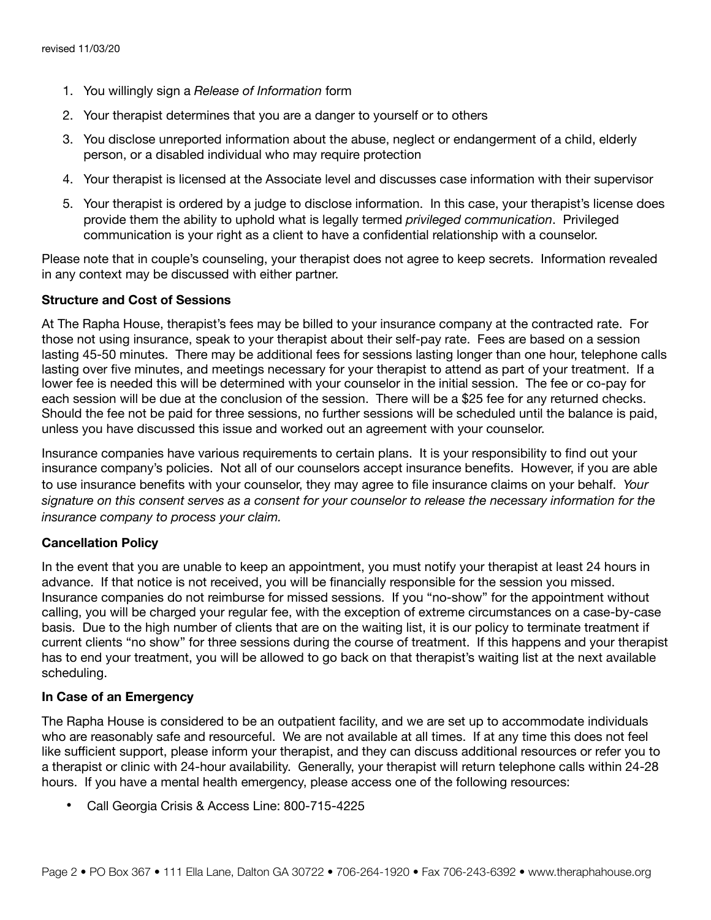- 1. You willingly sign a *Release of Information* form
- 2. Your therapist determines that you are a danger to yourself or to others
- 3. You disclose unreported information about the abuse, neglect or endangerment of a child, elderly person, or a disabled individual who may require protection
- 4. Your therapist is licensed at the Associate level and discusses case information with their supervisor
- 5. Your therapist is ordered by a judge to disclose information. In this case, your therapist's license does provide them the ability to uphold what is legally termed *privileged communication*. Privileged communication is your right as a client to have a confidential relationship with a counselor.

Please note that in couple's counseling, your therapist does not agree to keep secrets. Information revealed in any context may be discussed with either partner.

#### **Structure and Cost of Sessions**

At The Rapha House, therapist's fees may be billed to your insurance company at the contracted rate. For those not using insurance, speak to your therapist about their self-pay rate. Fees are based on a session lasting 45-50 minutes. There may be additional fees for sessions lasting longer than one hour, telephone calls lasting over five minutes, and meetings necessary for your therapist to attend as part of your treatment. If a lower fee is needed this will be determined with your counselor in the initial session. The fee or co-pay for each session will be due at the conclusion of the session. There will be a \$25 fee for any returned checks. Should the fee not be paid for three sessions, no further sessions will be scheduled until the balance is paid, unless you have discussed this issue and worked out an agreement with your counselor.

Insurance companies have various requirements to certain plans. It is your responsibility to find out your insurance company's policies. Not all of our counselors accept insurance benefits. However, if you are able to use insurance benefits with your counselor, they may agree to file insurance claims on your behalf. *Your signature on this consent serves as a consent for your counselor to release the necessary information for the insurance company to process your claim.*

#### **Cancellation Policy**

In the event that you are unable to keep an appointment, you must notify your therapist at least 24 hours in advance. If that notice is not received, you will be financially responsible for the session you missed. Insurance companies do not reimburse for missed sessions. If you "no-show" for the appointment without calling, you will be charged your regular fee, with the exception of extreme circumstances on a case-by-case basis. Due to the high number of clients that are on the waiting list, it is our policy to terminate treatment if current clients "no show" for three sessions during the course of treatment. If this happens and your therapist has to end your treatment, you will be allowed to go back on that therapist's waiting list at the next available scheduling.

#### **In Case of an Emergency**

The Rapha House is considered to be an outpatient facility, and we are set up to accommodate individuals who are reasonably safe and resourceful. We are not available at all times. If at any time this does not feel like sufficient support, please inform your therapist, and they can discuss additional resources or refer you to a therapist or clinic with 24-hour availability. Generally, your therapist will return telephone calls within 24-28 hours. If you have a mental health emergency, please access one of the following resources:

• Call Georgia Crisis & Access Line: 800-715-4225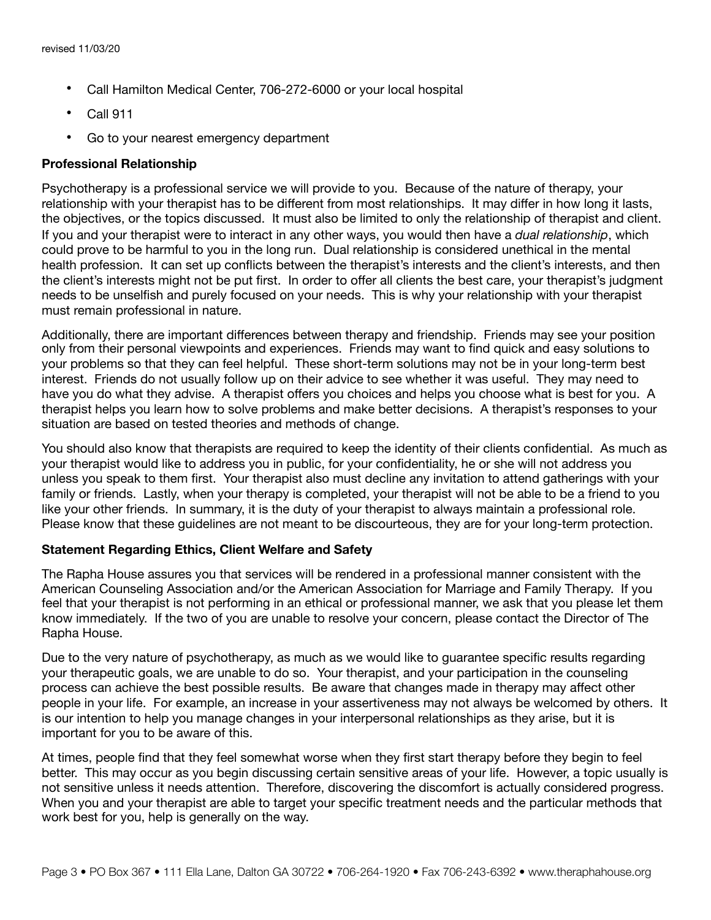- Call Hamilton Medical Center, 706-272-6000 or your local hospital
- Call 911
- Go to your nearest emergency department

#### **Professional Relationship**

Psychotherapy is a professional service we will provide to you. Because of the nature of therapy, your relationship with your therapist has to be different from most relationships. It may differ in how long it lasts, the objectives, or the topics discussed. It must also be limited to only the relationship of therapist and client. If you and your therapist were to interact in any other ways, you would then have a *dual relationship*, which could prove to be harmful to you in the long run. Dual relationship is considered unethical in the mental health profession. It can set up conflicts between the therapist's interests and the client's interests, and then the client's interests might not be put first. In order to offer all clients the best care, your therapist's judgment needs to be unselfish and purely focused on your needs. This is why your relationship with your therapist must remain professional in nature.

Additionally, there are important differences between therapy and friendship. Friends may see your position only from their personal viewpoints and experiences. Friends may want to find quick and easy solutions to your problems so that they can feel helpful. These short-term solutions may not be in your long-term best interest. Friends do not usually follow up on their advice to see whether it was useful. They may need to have you do what they advise. A therapist offers you choices and helps you choose what is best for you. A therapist helps you learn how to solve problems and make better decisions. A therapist's responses to your situation are based on tested theories and methods of change.

You should also know that therapists are required to keep the identity of their clients confidential. As much as your therapist would like to address you in public, for your confidentiality, he or she will not address you unless you speak to them first. Your therapist also must decline any invitation to attend gatherings with your family or friends. Lastly, when your therapy is completed, your therapist will not be able to be a friend to you like your other friends. In summary, it is the duty of your therapist to always maintain a professional role. Please know that these guidelines are not meant to be discourteous, they are for your long-term protection.

### **Statement Regarding Ethics, Client Welfare and Safety**

The Rapha House assures you that services will be rendered in a professional manner consistent with the American Counseling Association and/or the American Association for Marriage and Family Therapy. If you feel that your therapist is not performing in an ethical or professional manner, we ask that you please let them know immediately. If the two of you are unable to resolve your concern, please contact the Director of The Rapha House.

Due to the very nature of psychotherapy, as much as we would like to guarantee specific results regarding your therapeutic goals, we are unable to do so. Your therapist, and your participation in the counseling process can achieve the best possible results. Be aware that changes made in therapy may affect other people in your life. For example, an increase in your assertiveness may not always be welcomed by others. It is our intention to help you manage changes in your interpersonal relationships as they arise, but it is important for you to be aware of this.

At times, people find that they feel somewhat worse when they first start therapy before they begin to feel better. This may occur as you begin discussing certain sensitive areas of your life. However, a topic usually is not sensitive unless it needs attention. Therefore, discovering the discomfort is actually considered progress. When you and your therapist are able to target your specific treatment needs and the particular methods that work best for you, help is generally on the way.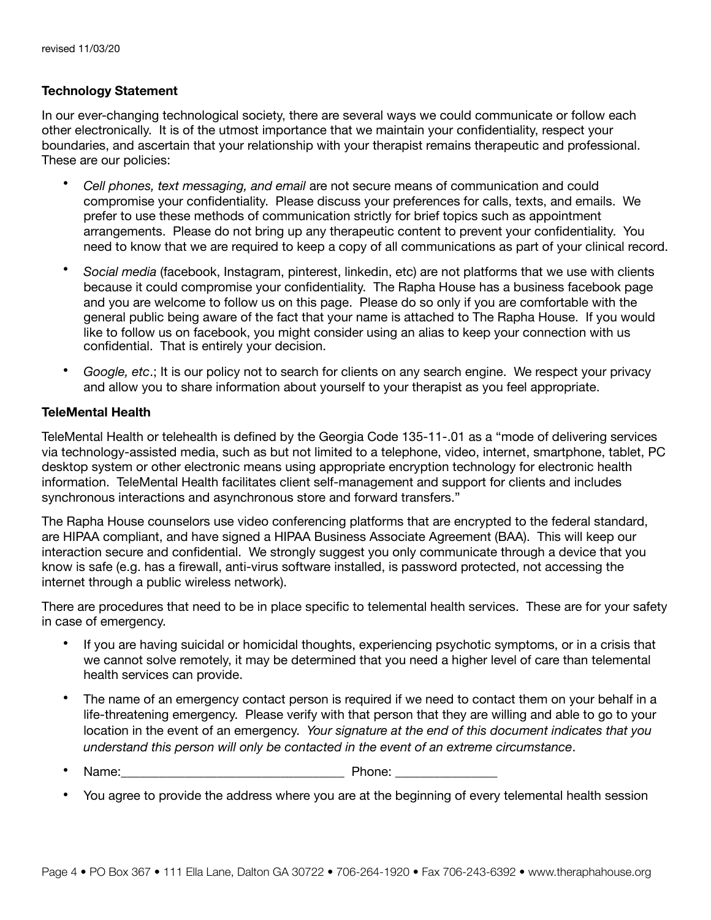#### **Technology Statement**

In our ever-changing technological society, there are several ways we could communicate or follow each other electronically. It is of the utmost importance that we maintain your confidentiality, respect your boundaries, and ascertain that your relationship with your therapist remains therapeutic and professional. These are our policies:

- *Cell phones, text messaging, and email* are not secure means of communication and could compromise your confidentiality. Please discuss your preferences for calls, texts, and emails. We prefer to use these methods of communication strictly for brief topics such as appointment arrangements. Please do not bring up any therapeutic content to prevent your confidentiality. You need to know that we are required to keep a copy of all communications as part of your clinical record.
- *Social media* (facebook, Instagram, pinterest, linkedin, etc) are not platforms that we use with clients because it could compromise your confidentiality. The Rapha House has a business facebook page and you are welcome to follow us on this page. Please do so only if you are comfortable with the general public being aware of the fact that your name is attached to The Rapha House. If you would like to follow us on facebook, you might consider using an alias to keep your connection with us confidential. That is entirely your decision.
- *Google, etc*.; It is our policy not to search for clients on any search engine. We respect your privacy and allow you to share information about yourself to your therapist as you feel appropriate.

#### **TeleMental Health**

TeleMental Health or telehealth is defined by the Georgia Code 135-11-.01 as a "mode of delivering services via technology-assisted media, such as but not limited to a telephone, video, internet, smartphone, tablet, PC desktop system or other electronic means using appropriate encryption technology for electronic health information. TeleMental Health facilitates client self-management and support for clients and includes synchronous interactions and asynchronous store and forward transfers."

The Rapha House counselors use video conferencing platforms that are encrypted to the federal standard, are HIPAA compliant, and have signed a HIPAA Business Associate Agreement (BAA). This will keep our interaction secure and confidential. We strongly suggest you only communicate through a device that you know is safe (e.g. has a firewall, anti-virus software installed, is password protected, not accessing the internet through a public wireless network).

There are procedures that need to be in place specific to telemental health services. These are for your safety in case of emergency.

- If you are having suicidal or homicidal thoughts, experiencing psychotic symptoms, or in a crisis that we cannot solve remotely, it may be determined that you need a higher level of care than telemental health services can provide.
- The name of an emergency contact person is required if we need to contact them on your behalf in a life-threatening emergency. Please verify with that person that they are willing and able to go to your location in the event of an emergency. *Your signature at the end of this document indicates that you understand this person will only be contacted in the event of an extreme circumstance*.
- Name: The contract of the contract of the Phone:  $\blacksquare$
- You agree to provide the address where you are at the beginning of every telemental health session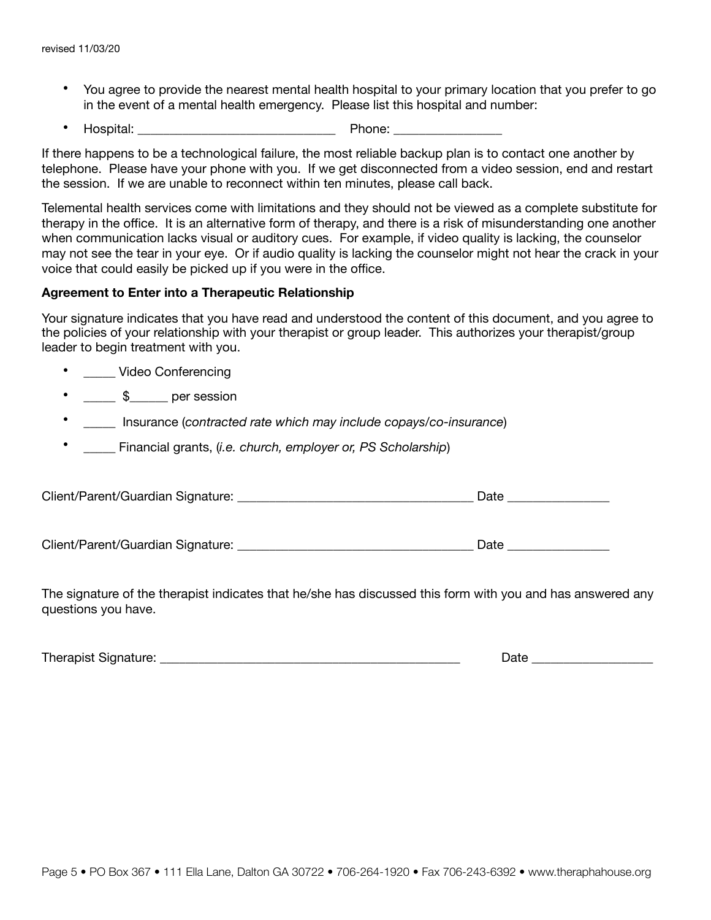- You agree to provide the nearest mental health hospital to your primary location that you prefer to go in the event of a mental health emergency. Please list this hospital and number:
- Hospital: \_\_\_\_\_\_\_\_\_\_\_\_\_\_\_\_\_\_\_\_\_\_\_\_\_\_\_\_\_\_\_ Phone: \_\_\_\_\_\_\_\_\_\_\_\_\_\_\_\_\_

If there happens to be a technological failure, the most reliable backup plan is to contact one another by telephone. Please have your phone with you. If we get disconnected from a video session, end and restart the session. If we are unable to reconnect within ten minutes, please call back.

Telemental health services come with limitations and they should not be viewed as a complete substitute for therapy in the office. It is an alternative form of therapy, and there is a risk of misunderstanding one another when communication lacks visual or auditory cues. For example, if video quality is lacking, the counselor may not see the tear in your eye. Or if audio quality is lacking the counselor might not hear the crack in your voice that could easily be picked up if you were in the office.

#### **Agreement to Enter into a Therapeutic Relationship**

Your signature indicates that you have read and understood the content of this document, and you agree to the policies of your relationship with your therapist or group leader. This authorizes your therapist/group leader to begin treatment with you.

- **Video Conferencing**
- $\frac{1}{2}$   $\frac{1}{2}$  per session
- \_\_\_\_\_ Insurance (*contracted rate which may include copays/co-insurance*)
- \_\_\_\_\_ Financial grants, (*i.e. church, employer or, PS Scholarship*)

Client/Parent/Guardian Signature: \_\_\_\_\_\_\_\_\_\_\_\_\_\_\_\_\_\_\_\_\_\_\_\_\_\_\_\_\_\_\_\_\_\_\_\_\_ Date \_\_\_\_\_\_\_\_\_\_\_\_\_\_\_\_

Client/Parent/Guardian Signature: \_\_\_\_\_\_\_\_\_\_\_\_\_\_\_\_\_\_\_\_\_\_\_\_\_\_\_\_\_\_\_\_\_\_\_\_\_ Date \_\_\_\_\_\_\_\_\_\_\_\_\_\_\_\_

The signature of the therapist indicates that he/she has discussed this form with you and has answered any questions you have.

| $-1$<br>---- |
|--------------|
|              |